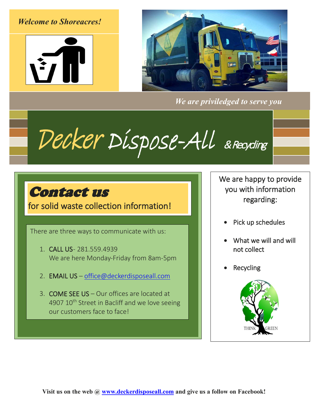### *Welcome to Shoreacres!*





*We are priviledged to serve you*

Decker Dispose-All & Recycling

# Contact us

for solid waste collection information!

There are three ways to communicate with us:

- 1. CALL US- 281.559.4939 We are here Monday-Friday from 8am-5pm
- 2. EMAIL US [office@deckerdisposeall.com](mailto:office@deckerdisposeall.com)
- 3. COME SEE US Our offices are located at 4907 10<sup>th</sup> Street in Bacliff and we love seeing our customers face to face!

We are happy to provide you with information regarding:

- Pick up schedules
- What we will and will not collect
- **Recycling**